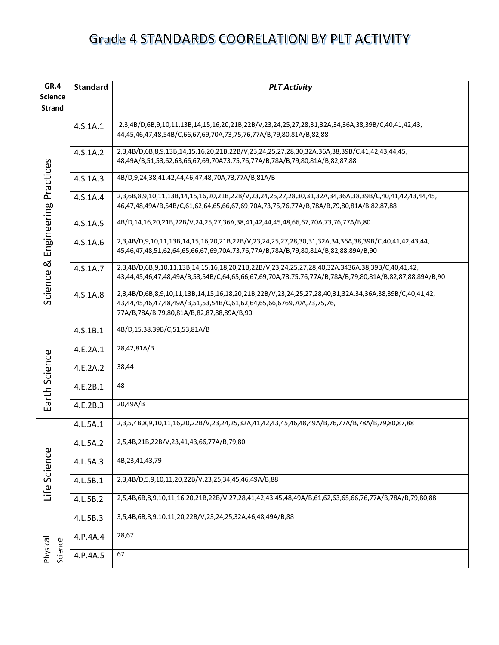| GR.4                | <b>Standard</b><br><b>PLT Activity</b> |                                                                                                        |  |  |
|---------------------|----------------------------------------|--------------------------------------------------------------------------------------------------------|--|--|
| <b>Science</b>      |                                        |                                                                                                        |  |  |
| <b>Strand</b>       |                                        |                                                                                                        |  |  |
|                     | 4.S.1A.1                               | 2,3,4B/D,6B,9,10,11,13B,14,15,16,20,21B,22B/V,23,24,25,27,28,31,32A,34,36A,38,39B/C,40,41,42,43,       |  |  |
|                     |                                        | 44,45,46,47,48,54B/C,66,67,69,70A,73,75,76,77A/B,79,80,81A/B,82,88                                     |  |  |
|                     | 4.S.1A.2                               | 2,3,4B/D,6B,8,9,13B,14,15,16,20,21B,22B/V,23,24,25,27,28,30,32A,36A,38,39B/C,41,42,43,44,45,           |  |  |
|                     |                                        | 48,49A/B,51,53,62,63,66,67,69,70A73,75,76,77A/B,78A/B,79,80,81A/B,82,87,88                             |  |  |
| Practices           | 4.5.1A.3                               | 4B/D,9,24,38,41,42,44,46,47,48,70A,73,77A/B,81A/B                                                      |  |  |
|                     |                                        | 2,3,6B,8,9,10,11,13B,14,15,16,20,21B,22B/V,23,24,25,27,28,30,31,32A,34,36A,38,39B/C,40,41,42,43,44,45, |  |  |
|                     | 4.S.1A.4                               | 46,47,48,49A/B,54B/C,61,62,64,65,66,67,69,70A,73,75,76,77A/B,78A/B,79,80,81A/B,82,87,88                |  |  |
|                     |                                        |                                                                                                        |  |  |
| Engineering         | 4.5.1A.5                               | 4B/D,14,16,20,21B,22B/V,24,25,27,36A,38,41,42,44,45,48,66,67,70A,73,76,77A/B,80                        |  |  |
|                     | 4.S.1A.6                               | 2,3,4B/D,9,10,11,13B,14,15,16,20,21B,22B/V,23,24,25,27,28,30,31,32A,34,36A,38,39B/C,40,41,42,43,44,    |  |  |
|                     |                                        | 45,46,47,48,51,62,64,65,66,67,69,70A,73,76,77A/B,78A/B,79,80,81A/B,82,88,89A/B,90                      |  |  |
| ಡ                   | 4.S.1A.7                               | 2,3,4B/D,6B,9,10,11,13B,14,15,16,18,20,21B,22B/V,23,24,25,27,28,40,32A,3436A,38,39B/C,40,41,42,        |  |  |
| Science             |                                        | 43,44,45,46,47,48,49A/B,53,54B/C,64,65,66,67,69,70A,73,75,76,77A/B,78A/B,79,80,81A/B,82,87,88,89A/B,90 |  |  |
|                     | 4.S.1A.8                               | 2,3,4B/D,6B,8,9,10,11,13B,14,15,16,18,20,21B,22B/V,23,24,25,27,28,40,31,32A,34,36A,38,39B/C,40,41,42,  |  |  |
|                     |                                        | 43,44,45,46,47,48,49A/B,51,53,54B/C,61,62,64,65,66,6769,70A,73,75,76,                                  |  |  |
|                     |                                        | 77A/B,78A/B,79,80,81A/B,82,87,88,89A/B,90                                                              |  |  |
|                     | 4.S.1B.1                               | 4B/D,15,38,39B/C,51,53,81A/B                                                                           |  |  |
|                     | 4.E.2A.1                               | 28,42,81A/B                                                                                            |  |  |
| Earth Science       | 4.E.2A.2                               | 38,44                                                                                                  |  |  |
|                     | 4.E.2B.1                               | 48                                                                                                     |  |  |
|                     |                                        |                                                                                                        |  |  |
|                     | 4.E.2B.3                               | 20,49A/B                                                                                               |  |  |
|                     | 4.L.5A.1                               | 2,3,5,4B,8,9,10,11,16,20,22B/V,23,24,25,32A,41,42,43,45,46,48,49A/B,76,77A/B,78A/B,79,80,87,88         |  |  |
|                     | 4.L.5A.2                               | 2,5,4B,21B,22B/V,23,41,43,66,77A/B,79,80                                                               |  |  |
|                     | 4.L.5A.3                               | 4B, 23, 41, 43, 79                                                                                     |  |  |
| Life Science        | 4.L.5B.1                               | 2,3,4B/D,5,9,10,11,20,22B/V,23,25,34,45,46,49A/B,88                                                    |  |  |
|                     |                                        |                                                                                                        |  |  |
|                     | 4.L.5B.2                               | 2,5,4B,6B,8,9,10,11,16,20,21B,22B/V,27,28,41,42,43,45,48,49A/B,61,62,63,65,66,76,77A/B,78A/B,79,80,88  |  |  |
|                     | 4.L.5B.3                               | 3,5,4B,6B,8,9,10,11,20,22B/V,23,24,25,32A,46,48,49A/B,88                                               |  |  |
|                     | 4.P.4A.4                               | 28,67                                                                                                  |  |  |
| Physical<br>Science | 4.P.4A.5                               | 67                                                                                                     |  |  |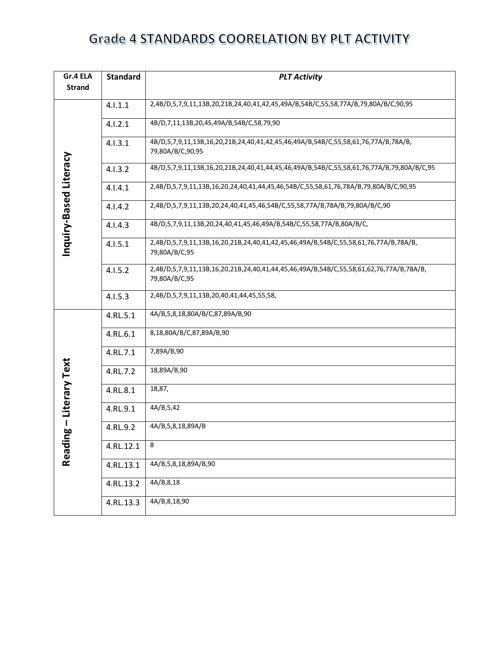| Gr.4 ELA<br><b>Standard</b> |           | <b>PLT Activity</b>                                                                                      |
|-----------------------------|-----------|----------------------------------------------------------------------------------------------------------|
| <b>Strand</b>               |           |                                                                                                          |
|                             | 4.1.1.1   | 2,4B/D,5,7,9,11,13B,20,21B,24,40,41,42,45,49A/B,54B/C,55,58,77A/B,79,80A/B/C,90,95                       |
|                             | 4.1.2.1   | 4B/D,7,11,13B,20,45,49A/B,54B/C,58,79,90                                                                 |
|                             | 4.1.3.1   | 4B/D,5,7,9,11,13B,16,20,21B,24,40,41,42,45,46,49A/B,54B/C,55,58,61,76,77A/B,78A/B,<br>79,80A/B/C,90,95   |
|                             | 4.1.3.2   | 4B/D,5,7,9,11,13B,16,20,21B,24,40,41,44,45,46,49A/B,54B/C,55,58,61,76,77A/B,79,80A/B/C,95                |
|                             | 4.1.4.1   | 2,4B/D,5,7,9,11,13B,16,20,24,40,41,44,45,46,54B/C,55,58,61,76,78A/B,79,80A/B/C,90,95                     |
|                             | 4.1.4.2   | 2,4B/D,5,7,9,11,13B,20,24,40,41,45,46,54B/C,55,58,77A/B,78A/B,79,80A/B/C,90                              |
|                             | 4.1.4.3   | 4B/D,5,7,9,11,13B,20,24,40,41,45,46,49A/B,54B/C,55,58,77A/B,80A/B/C,                                     |
| Inquiry-Based Literacy      | 4.1.5.1   | 2,4B/D,5,7,9,11,13B,16,20,21B,24,40,41,42,45,46,49A/B,54B/C,55,58,61,76,77A/B,78A/B,<br>79,80A/B/C,95    |
|                             | 4.1.5.2   | 2,4B/D,5,7,9,11,13B,16,20,21B,24,40,41,44,45,46,49A/B,54B/C,55,58,61,62,76,77A/B,78A/B,<br>79,80A/B/C,95 |
|                             | 4.1.5.3   | 2,4B/D,5,7,9,11,13B,20,40,41,44,45,55,58,                                                                |
|                             | 4.RL.5.1  | 4A/B,5,8,18,80A/B/C,87,89A/B,90                                                                          |
|                             | 4.RL.6.1  | 8,18,80A/B/C,87,89A/B,90                                                                                 |
|                             | 4.RL.7.1  | 7,89A/B,90                                                                                               |
|                             | 4.RL.7.2  | 18,89A/B,90                                                                                              |
| Literary Text               | 4.RL.8.1  | 18,87,                                                                                                   |
|                             | 4.RL.9.1  | 4A/B, 5, 42                                                                                              |
| $\mathbf{I}$<br>æ           | 4.RL.9.2  | 4A/B, 5, 8, 18, 89A/B                                                                                    |
| Readin                      | 4.RL.12.1 | 8                                                                                                        |
|                             | 4.RL.13.1 | 4A/B,5,8,18,89A/B,90                                                                                     |
|                             | 4.RL.13.2 | 4A/B,8,18                                                                                                |
|                             | 4.RL.13.3 | 4A/B,8,18,90                                                                                             |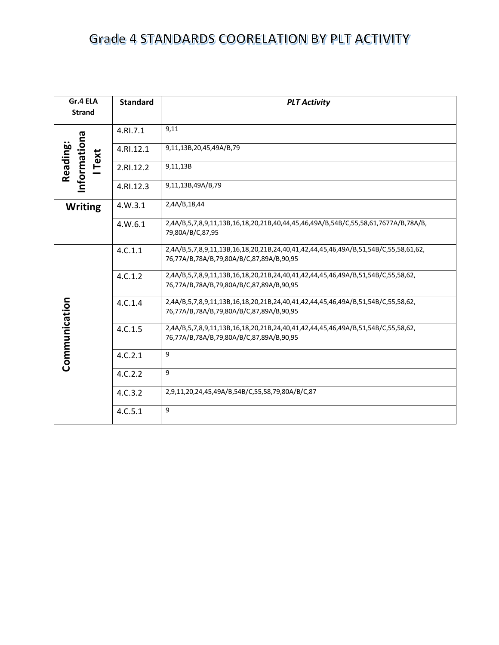| Gr.4 ELA<br><b>Strand</b>               | <b>Standard</b> | <b>PLT Activity</b>                                                                                                             |
|-----------------------------------------|-----------------|---------------------------------------------------------------------------------------------------------------------------------|
|                                         | 4.RI.7.1        | 9,11                                                                                                                            |
| Informationa<br>Reading:<br><b>Text</b> | 4.RI.12.1       | 9,11,13B,20,45,49A/B,79                                                                                                         |
|                                         | 2.RI.12.2       | 9,11,13B                                                                                                                        |
|                                         | 4.RI.12.3       | 9,11,13B,49A/B,79                                                                                                               |
| <b>Writing</b>                          | 4.W.3.1         | 2,4A/B,18,44                                                                                                                    |
|                                         | 4. W.6.1        | 2,4A/B,5,7,8,9,11,13B,16,18,20,21B,40,44,45,46,49A/B,54B/C,55,58,61,7677A/B,78A/B,<br>79,80A/B/C,87,95                          |
|                                         | 4.C.1.1         | 2,4A/B,5,7,8,9,11,13B,16,18,20,21B,24,40,41,42,44,45,46,49A/B,51,54B/C,55,58,61,62,<br>76,77A/B,78A/B,79,80A/B/C,87,89A/B,90,95 |
|                                         | 4.C.1.2         | 2,4A/B,5,7,8,9,11,13B,16,18,20,21B,24,40,41,42,44,45,46,49A/B,51,54B/C,55,58,62,<br>76,77A/B,78A/B,79,80A/B/C,87,89A/B,90,95    |
|                                         | 4.C.1.4         | 2,4A/B,5,7,8,9,11,13B,16,18,20,21B,24,40,41,42,44,45,46,49A/B,51,54B/C,55,58,62,<br>76,77A/B,78A/B,79,80A/B/C,87,89A/B,90,95    |
| Communication                           | 4.C.1.5         | 2,4A/B,5,7,8,9,11,13B,16,18,20,21B,24,40,41,42,44,45,46,49A/B,51,54B/C,55,58,62,<br>76,77A/B,78A/B,79,80A/B/C,87,89A/B,90,95    |
|                                         | 4.C.2.1         | 9                                                                                                                               |
|                                         | 4.C.2.2         | 9                                                                                                                               |
|                                         | 4.C.3.2         | 2,9,11,20,24,45,49A/B,54B/C,55,58,79,80A/B/C,87                                                                                 |
|                                         | 4.C.5.1         | 9                                                                                                                               |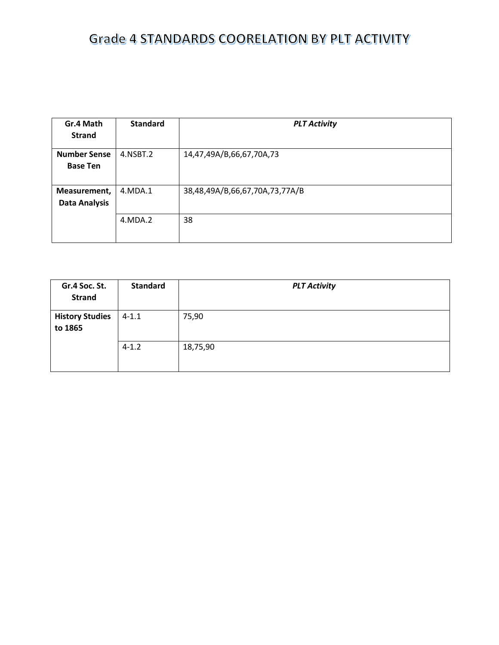| Gr.4 Math<br><b>Strand</b>             | <b>Standard</b> | <b>PLT Activity</b>            |
|----------------------------------------|-----------------|--------------------------------|
| <b>Number Sense</b><br><b>Base Ten</b> | 4.NSBT.2        | 14,47,49A/B,66,67,70A,73       |
| Measurement,<br><b>Data Analysis</b>   | 4.MDA.1         | 38,48,49A/B,66,67,70A,73,77A/B |
|                                        | 4. MDA. 2       | 38                             |

| Gr.4 Soc. St.<br><b>Strand</b>    | <b>Standard</b> | <b>PLT Activity</b> |
|-----------------------------------|-----------------|---------------------|
| <b>History Studies</b><br>to 1865 | $4 - 1.1$       | 75,90               |
|                                   | $4 - 1.2$       | 18,75,90            |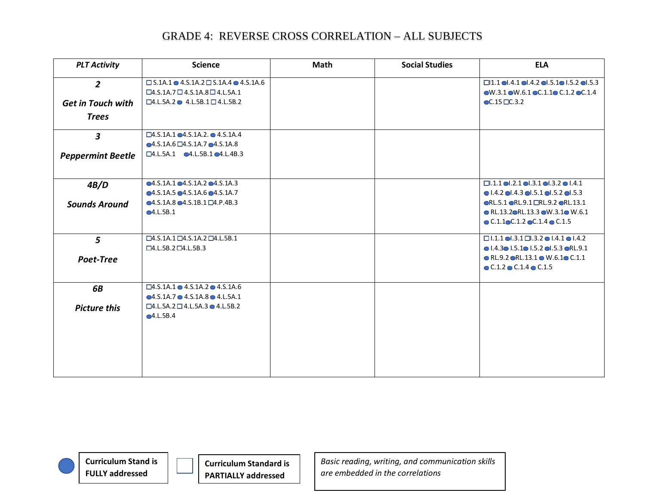| <b>PLT Activity</b>                      | <b>Science</b>                                                                                                             | <b>Math</b> | <b>Social Studies</b> | <b>ELA</b>                                                                                                                                                                                                             |
|------------------------------------------|----------------------------------------------------------------------------------------------------------------------------|-------------|-----------------------|------------------------------------------------------------------------------------------------------------------------------------------------------------------------------------------------------------------------|
| $\overline{2}$                           | $\square$ S.1A.1 $\bullet$ 4.S.1A.2 $\square$ S.1A.4 $\bullet$ 4.S.1A.6<br>$\Box$ 4.S.1A.7 $\Box$ 4.S.1A.8 $\Box$ 4.L.5A.1 |             |                       | $\Box$ 1.1 $\Box$ 1.4.1 $\Box$ 1.4.2 $\Box$ 1.5.1 $\Box$ 1.5.2 $\Box$ 1.5.3<br>$\bullet$ W.3.1 $\bullet$ W.6.1 $\bullet$ C.1.1 $\bullet$ C.1.2 $\bullet$ C.1.4                                                         |
| <b>Get in Touch with</b><br><b>Trees</b> | $\Box$ 4.L.5A.2 $\bullet$ 4.L.5B.1 $\Box$ 4.L.5B.2                                                                         |             |                       | $\bullet$ C.15 $\Box$ C.3.2                                                                                                                                                                                            |
| $\mathbf{3}$                             | $\square$ 4.S.1A.1 $\bullet$ 4.S.1A.2. $\bullet$ 4.S.1A.4<br>$\bigcirc$ 4.S.1A.6 $\bigcirc$ 4.S.1A.7 $\bigcirc$ 4.S.1A.8   |             |                       |                                                                                                                                                                                                                        |
| <b>Peppermint Beetle</b>                 | $\square$ 4.L.5A.1 $\square$ 4.L.5B.1 $\square$ 4.L.4B.3                                                                   |             |                       |                                                                                                                                                                                                                        |
| 4B/D                                     | $\bigcirc$ 4.S.1A.1 $\bigcirc$ 4.S.1A.2 $\bigcirc$ 4.S.1A.3<br>•4.5.1A.5 •4.5.1A.6 •4.5.1A.7                               |             |                       | $\Box 1.1 \odot 1.2.1 \odot 1.3.1 \odot 1.3.2 \odot 1.4.1$<br>$\bullet$ 1.4.2 $\bullet$ 1.4.3 $\bullet$ 1.5.1 $\bullet$ 1.5.2 $\bullet$ 1.5.3                                                                          |
| <b>Sounds Around</b>                     | $\bigcirc$ 4.S.1A.8 $\bigcirc$ 4.S.1B.1 $\Box$ 4.P.4B.3<br>•4.L.5B.1                                                       |             |                       | ●RL.5.1 ●RL.9.1 □RL.9.2 ●RL.13.1<br>• RL.13.2•RL.13.3•W.3.1•W.6.1<br>$\bullet$ C.1.1 $\bullet$ C.1.2 $\bullet$ C.1.4 $\bullet$ C.1.5                                                                                   |
| 5<br>Poet-Tree                           | $\Box$ 4.S.1A.1 $\Box$ 4.S.1A.2 $\Box$ 4.L.5B.1<br>$\square$ 4.L.5B.2 $\square$ 4.L.5B.3                                   |             |                       | $\Box$ 1.1.1 $\Box$ 3.1 $\Box$ 3.2 $\Box$ 1.4.1 $\Box$ 1.4.2<br>$\bullet$ 1.4.3 $\bullet$ 1.5.1 $\bullet$ 1.5.2 $\bullet$ 1.5.3 $\bullet$ RL.9.1<br>$\bullet$ RL.9.2 $\bullet$ RL.13.1 $\bullet$ W.6.1 $\bullet$ C.1.1 |
|                                          |                                                                                                                            |             |                       | $\bullet$ C.1.2 $\bullet$ C.1.4 $\bullet$ C.1.5                                                                                                                                                                        |
| 6B                                       | $\square$ 4.S.1A.1 $\bullet$ 4.S.1A.2 $\bullet$ 4.S.1A.6<br>$\bullet$ 4.S.1A.7 $\bullet$ 4.S.1A.8 $\bullet$ 4.L.5A.1       |             |                       |                                                                                                                                                                                                                        |
| <b>Picture this</b>                      | $\square$ 4.L.5A.2 $\square$ 4.L.5A.3 $\bullet$ 4.L.5B.2<br>•4.L.5B.4                                                      |             |                       |                                                                                                                                                                                                                        |
|                                          |                                                                                                                            |             |                       |                                                                                                                                                                                                                        |



**Curriculum Standard is PARTIALLY addressed**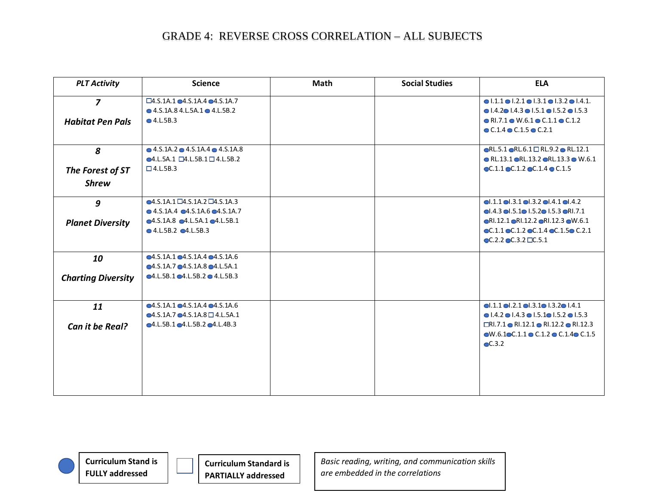| <b>PLT Activity</b>       | <b>Science</b>                                              | <b>Math</b> | <b>Social Studies</b> | <b>ELA</b>                                                                       |
|---------------------------|-------------------------------------------------------------|-------------|-----------------------|----------------------------------------------------------------------------------|
| $\overline{z}$            | $\square$ 4.S.1A.1 $\bullet$ 4.S.1A.4 $\bullet$ 4.S.1A.7    |             |                       | $\bullet$ 1.1.1 $\bullet$ 1.2.1 $\bullet$ 1.3.1 $\bullet$ 1.3.2 $\bullet$ 1.4.1. |
|                           | $\bullet$ 4.S.1A.8 4.L.5A.1 $\bullet$ 4.L.5B.2              |             |                       | $\bullet$ 1.4.2 $\bullet$ 1.4.3 $\bullet$ 1.5.1 $\bullet$ 1.5.2 $\bullet$ 1.5.3  |
| <b>Habitat Pen Pals</b>   | •4.L.5B.3                                                   |             |                       | $\bullet$ RI.7.1 $\bullet$ W.6.1 $\bullet$ C.1.1 $\bullet$ C.1.2                 |
|                           |                                                             |             |                       | $\bullet$ C.1.4 $\bullet$ C.1.5 $\bullet$ C.2.1                                  |
| 8                         | $\bullet$ 4.S.1A.2 $\bullet$ 4.S.1A.4 $\bullet$ 4.S.1A.8    |             |                       | $\bigodot$ RL.5.1 $\bigodot$ RL.6.1 $\square$ RL.9.2 $\bigodot$ RL.12.1          |
|                           | $\bullet$ 4.L.5A.1 $\Box$ 4.L.5B.1 $\Box$ 4.L.5B.2          |             |                       | $\bullet$ RL.13.1 $\bullet$ RL.13.2 $\bullet$ RL.13.3 $\bullet$ W.6.1            |
| The Forest of ST          | $\Box$ 4.L.5B.3                                             |             |                       | $\bullet$ C.1.1 $\bullet$ C.1.2 $\bullet$ C.1.4 $\bullet$ C.1.5                  |
| <b>Shrew</b>              |                                                             |             |                       |                                                                                  |
| 9                         | $\bigcirc$ 4.S.1A.1 $\square$ 4.S.1A.2 $\square$ 4.S.1A.3   |             |                       | $\bullet$ .1.1 $\bullet$ .3.1 $\bullet$ .3.2 $\bullet$ .4.1 $\bullet$ .4.2       |
|                           | $\bullet$ 4.S.1A.4 $\bullet$ 4.S.1A.6 $\bullet$ 4.S.1A.7    |             |                       | $\bullet$ 1.4.3 $\bullet$ 1.5.1 $\bullet$ 1.5.2 $\bullet$ 1.5.3 $\bullet$ R1.7.1 |
| <b>Planet Diversity</b>   | $•4.5.1A.8$ $•4.1.5A.1$ $•4.1.5B.1$                         |             |                       | $\bullet$ RI.12.1 $\bullet$ RI.12.2 $\bullet$ RI.12.3 $\bullet$ W.6.1            |
|                           | • 4.L.5B.2 • 4.L.5B.3                                       |             |                       | $\odot$ C.1.1 $\odot$ C.1.2 $\odot$ C.1.4 $\odot$ C.1.5 $\odot$ C.2.1            |
|                           |                                                             |             |                       | $\odot$ C.2.2 $\odot$ C.3.2 $\Box$ C.5.1                                         |
| 10                        | $\bigcirc$ 4.S.1A.1 $\bigcirc$ 4.S.1A.4 $\bigcirc$ 4.S.1A.6 |             |                       |                                                                                  |
|                           | $•4.5.1A.7$ $•4.5.1A.8$ $•4.1.5A.1$                         |             |                       |                                                                                  |
| <b>Charting Diversity</b> | •4.L.5B.1 •4.L.5B.2 •4.L.5B.3                               |             |                       |                                                                                  |
| 11                        | $-4.5.1A.1 - 4.5.1A.4 - 4.5.1A.6$                           |             |                       | $0.1.1$ $0.2.1$ $0.3.1$ $0.3.2$ $0.4.1$                                          |
|                           | $\bullet$ 4.S.1A.7 $\bullet$ 4.S.1A.8 $\square$ 4.L.5A.1    |             |                       | $\bullet$ 1.4.2 $\bullet$ 1.4.3 $\bullet$ 1.5.1 $\bullet$ 1.5.2 $\bullet$ 1.5.3  |
| Can it be Real?           | •4. L.5B.1 •4. L.5B.2 •4. L.4B.3                            |             |                       | $\Box$ RI.7.1 $\bullet$ RI.12.1 $\bullet$ RI.12.2 $\bullet$ RI.12.3              |
|                           |                                                             |             |                       | $\bullet$ W.6.1 $\bullet$ C.1.1 $\bullet$ C.1.2 $\bullet$ C.1.4 $\bullet$ C.1.5  |
|                           |                                                             |             |                       | $\bullet$ C.3.2                                                                  |
|                           |                                                             |             |                       |                                                                                  |
|                           |                                                             |             |                       |                                                                                  |
|                           |                                                             |             |                       |                                                                                  |
|                           |                                                             |             |                       |                                                                                  |



**Curriculum Standard is PARTIALLY addressed**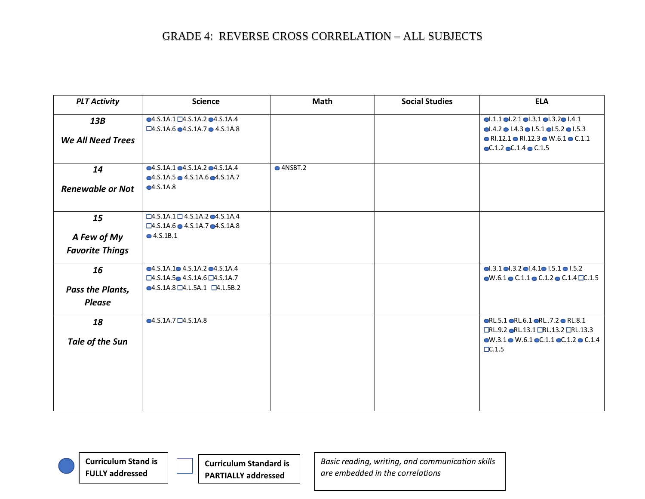| <b>PLT Activity</b>      | <b>Science</b>                                             | <b>Math</b> | <b>Social Studies</b> | <b>ELA</b>                                                                                                             |
|--------------------------|------------------------------------------------------------|-------------|-----------------------|------------------------------------------------------------------------------------------------------------------------|
| 13B                      | $\bigcirc$ 4.S.1A.1 $\square$ 4.S.1A.2 $\square$ 4.S.1A.4  |             |                       | $ol.1.1$ $ol.2.1$ $ol.3.1$ $ol.3.2$ $ol.4.1$                                                                           |
|                          | $\square$ 4.S.1A.6 $\bigcirc$ 4.S.1A.7 $\bigcirc$ 4.S.1A.8 |             |                       | $\bullet$ 1.4.2 $\bullet$ 1.4.3 $\bullet$ 1.5.1 $\bullet$ 1.5.2 $\bullet$ 1.5.3                                        |
| <b>We All Need Trees</b> |                                                            |             |                       | $\bullet$ RI.12.1 $\bullet$ RI.12.3 $\bullet$ W.6.1 $\bullet$ C.1.1<br>$\bullet$ C.1.2 $\bullet$ C.1.4 $\bullet$ C.1.5 |
|                          |                                                            |             |                       |                                                                                                                        |
| 14                       | •4.5.1A.1 •4.5.1A.2 •4.5.1A.4                              | $•$ 4NSBT.2 |                       |                                                                                                                        |
|                          | $-4.5.1A.5 - 4.5.1A.6 - 4.5.1A.7$                          |             |                       |                                                                                                                        |
| <b>Renewable or Not</b>  | •4.5.1A.8                                                  |             |                       |                                                                                                                        |
|                          |                                                            |             |                       |                                                                                                                        |
| 15                       | $\Box$ 4.S.1A.1 $\Box$ 4.S.1A.2 $\bigcirc$ 4.S.1A.4        |             |                       |                                                                                                                        |
|                          | $\square$ 4.S.1A.6 $\bullet$ 4.S.1A.7 $\bullet$ 4.S.1A.8   |             |                       |                                                                                                                        |
| A Few of My              | •4.5.1B.1                                                  |             |                       |                                                                                                                        |
| <b>Favorite Things</b>   |                                                            |             |                       |                                                                                                                        |
| 16                       | •4.5.1A.1•4.5.1A.2•4.5.1A.4                                |             |                       | $0.3.1$ $0.3.2$ $0.4.1$ $0.5.1$ $0.5.2$                                                                                |
|                          | $\square$ 4.S.1A.5 $\square$ 4.S.1A.6 $\square$ 4.S.1A.7   |             |                       | $\bullet$ W.6.1 $\bullet$ C.1.1 $\bullet$ C.1.2 $\bullet$ C.1.4 $\Box$ C.1.5                                           |
| <b>Pass the Plants,</b>  | $\bigcirc$ 4.S.1A.8 $\square$ 4.L.5A.1 $\square$ 4.L.5B.2  |             |                       |                                                                                                                        |
| <b>Please</b>            |                                                            |             |                       |                                                                                                                        |
| 18                       | $-4.5.1A.7 \square 4.5.1A.8$                               |             |                       | $\bigcirc$ RL.5.1 $\bigcirc$ RL.6.1 $\bigcirc$ RL.7.2 $\bigcirc$ RL.8.1                                                |
|                          |                                                            |             |                       | □RL.9.2 ●RL.13.1 □RL.13.2 □RL.13.3                                                                                     |
| Tale of the Sun          |                                                            |             |                       | $\bullet$ W.3.1 $\bullet$ W.6.1 $\bullet$ C.1.1 $\bullet$ C.1.2 $\bullet$ C.1.4<br>$\Box$ C.1.5                        |
|                          |                                                            |             |                       |                                                                                                                        |
|                          |                                                            |             |                       |                                                                                                                        |
|                          |                                                            |             |                       |                                                                                                                        |
|                          |                                                            |             |                       |                                                                                                                        |
|                          |                                                            |             |                       |                                                                                                                        |
|                          |                                                            |             |                       |                                                                                                                        |

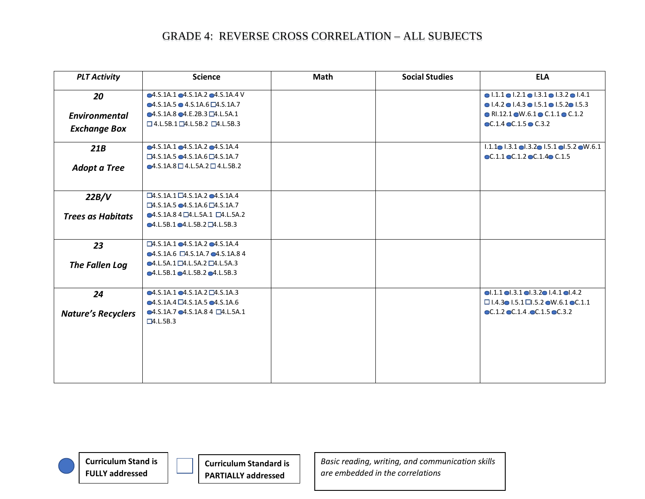| <b>PLT Activity</b>       | <b>Science</b>                                                | <b>Math</b> | <b>Social Studies</b> | <b>ELA</b>                                                                      |
|---------------------------|---------------------------------------------------------------|-------------|-----------------------|---------------------------------------------------------------------------------|
| 20                        | $-4.5.1A.1 - 4.5.1A.2 - 4.5.1A.4$ V                           |             |                       | $\bullet$ 1.1.1 $\bullet$ 1.2.1 $\bullet$ 1.3.1 $\bullet$ 1.3.2 $\bullet$ 1.4.1 |
|                           | $\bigcirc$ 4.S.1A.5 $\bigcirc$ 4.S.1A.6 $\bigcirc$ 4.S.1A.7   |             |                       | $\bullet$ 1.4.2 $\bullet$ 1.4.3 $\bullet$ 1.5.1 $\bullet$ 1.5.2 $\bullet$ 1.5.3 |
| <b>Environmental</b>      | $\bigcirc$ 4.S.1A.8 $\bigcirc$ 4.E.2B.3 $\bigcirc$ 4.L.5A.1   |             |                       | $\bullet$ RI.12.1 $\bullet$ W.6.1 $\bullet$ C.1.1 $\bullet$ C.1.2               |
| <b>Exchange Box</b>       | $\square$ 4.L.5B.1 $\square$ 4.L.5B.2 $\square$ 4.L.5B.3      |             |                       | $\bullet$ C.1.4 $\bullet$ C.1.5 $\bullet$ C.3.2                                 |
|                           |                                                               |             |                       |                                                                                 |
| 21B                       | $-4.5.1A.1 - 4.5.1A.2 - 4.5.1A.4$                             |             |                       | $1.1.1 \bullet 1.3.1 \bullet 1.3.2 \bullet 1.5.1 \bullet 1.5.2 \bullet 1.6.1$   |
|                           | $\Box$ 4.S.1A.5 $\bigcirc$ 4.S.1A.6 $\Box$ 4.S.1A.7           |             |                       | $\bullet$ C.1.1 $\bullet$ C.1.2 $\bullet$ C.1.4 $\bullet$ C.1.5                 |
| <b>Adopt a Tree</b>       | $\bigcirc$ 4.S.1A.8 $\Box$ 4.L.5A.2 $\Box$ 4.L.5B.2           |             |                       |                                                                                 |
|                           |                                                               |             |                       |                                                                                 |
| 22B/V                     | $\Box$ 4.S.1A.1 $\Box$ 4.S.1A.2 $\bigcirc$ 4.S.1A.4           |             |                       |                                                                                 |
|                           | $\square$ 4.S.1A.5 $\square$ 4.S.1A.6 $\square$ 4.S.1A.7      |             |                       |                                                                                 |
| <b>Trees as Habitats</b>  | $\bigcirc$ 4.S.1A.8 4 $\bigcirc$ 4.L.5A.1 $\bigcirc$ 4.L.5A.2 |             |                       |                                                                                 |
|                           | $•4.L.5B.1 •4.L.5B.2 \square 4.L.5B.3$                        |             |                       |                                                                                 |
|                           |                                                               |             |                       |                                                                                 |
| 23                        | $\square$ 4.5.1A.1 $\square$ 4.5.1A.2 $\square$ 4.5.1A.4      |             |                       |                                                                                 |
|                           | $\bigcirc$ 4.S.1A.6 $\bigcirc$ 4.S.1A.7 $\bigcirc$ 4.S.1A.8 4 |             |                       |                                                                                 |
| The Fallen Log            | $•4. L.5A.1 \square 4. L.5A.2 \square 4. L.5A.3$              |             |                       |                                                                                 |
|                           | •4. L.5B.1 •4. L.5B.2 •4. L.5B.3                              |             |                       |                                                                                 |
| 24                        | $\bigcirc$ 4.S.1A.1 $\bigcirc$ 4.S.1A.2 $\square$ 4.S.1A.3    |             |                       | $\bullet$ .1.1 $\bullet$ .3.1 $\bullet$ .3.2 $\bullet$ .4.1 $\bullet$ .4.2      |
|                           | $\bigcirc$ 4.S.1A.4 $\Box$ 4.S.1A.5 $\bigcirc$ 4.S.1A.6       |             |                       | $\Box$ 1.4.3 $\Box$ 1.5.1 $\Box$ 1.5.2 $\bullet$ W.6.1 $\bullet$ C.1.1          |
| <b>Nature's Recyclers</b> | $\bigcirc$ 4.S.1A.7 $\bigcirc$ 4.S.1A.8 4 $\Box$ 4.L.5A.1     |             |                       | $\bullet$ C.1.2 $\bullet$ C.1.4. $\bullet$ C.1.5 $\bullet$ C.3.2                |
|                           | $\square$ 4.L.5B.3                                            |             |                       |                                                                                 |
|                           |                                                               |             |                       |                                                                                 |
|                           |                                                               |             |                       |                                                                                 |
|                           |                                                               |             |                       |                                                                                 |
|                           |                                                               |             |                       |                                                                                 |
|                           |                                                               |             |                       |                                                                                 |
|                           |                                                               |             |                       |                                                                                 |



**Curriculum Standard is PARTIALLY addressed**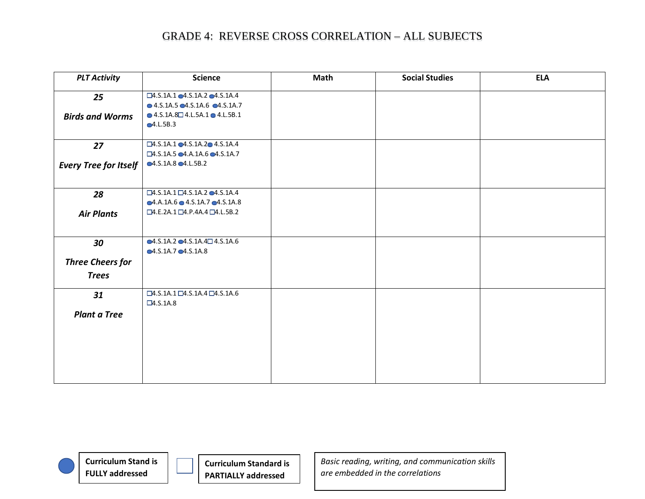| <b>PLT Activity</b>          | <b>Science</b>                                                        | Math | <b>Social Studies</b> | <b>ELA</b> |
|------------------------------|-----------------------------------------------------------------------|------|-----------------------|------------|
| 25                           | $\square$ 4.S.1A.1 $\square$ 4.S.1A.2 $\square$ 4.S.1A.4              |      |                       |            |
|                              | $\bullet$ 4.S.1A.5 $\bullet$ 4.S.1A.6 $\bullet$ 4.S.1A.7              |      |                       |            |
| <b>Birds and Worms</b>       | $\bullet$ 4.S.1A.8 $\Box$ 4.L.5A.1 $\bullet$ 4.L.5B.1                 |      |                       |            |
|                              | •4.L.5B.3                                                             |      |                       |            |
|                              | $\square$ 4.S.1A.1 $\square$ 4.S.1A.2 $\square$ 4.S.1A.4              |      |                       |            |
| 27                           | $\square$ 4.S.1A.5 $\square$ 4.A.1A.6 $\square$ 4.S.1A.7              |      |                       |            |
|                              | •4.5.1A.8 •4.1.5B.2                                                   |      |                       |            |
| <b>Every Tree for Itself</b> |                                                                       |      |                       |            |
|                              |                                                                       |      |                       |            |
| 28                           | $\square$ 4.S.1A.1 $\square$ 4.S.1A.2 $\square$ 4.S.1A.4              |      |                       |            |
|                              | $\bullet$ 4.A.1A.6 $\bullet$ 4.S.1A.7 $\bullet$ 4.S.1A.8              |      |                       |            |
| <b>Air Plants</b>            | $\Box$ 4.E.2A.1 $\Box$ 4.P.4A.4 $\Box$ 4.L.5B.2                       |      |                       |            |
|                              |                                                                       |      |                       |            |
| 30                           | $-4.5.1A.2 - 4.5.1A.4 \square 4.5.1A.6$                               |      |                       |            |
|                              | •4.5.1A.7•4.5.1A.8                                                    |      |                       |            |
| <b>Three Cheers for</b>      |                                                                       |      |                       |            |
| <b>Trees</b>                 |                                                                       |      |                       |            |
|                              |                                                                       |      |                       |            |
| 31                           | $\Box$ 4.S.1A.1 $\Box$ 4.S.1A.4 $\Box$ 4.S.1A.6<br>$\square$ 4.S.1A.8 |      |                       |            |
|                              |                                                                       |      |                       |            |
| <b>Plant a Tree</b>          |                                                                       |      |                       |            |
|                              |                                                                       |      |                       |            |
|                              |                                                                       |      |                       |            |
|                              |                                                                       |      |                       |            |
|                              |                                                                       |      |                       |            |
|                              |                                                                       |      |                       |            |
|                              |                                                                       |      |                       |            |

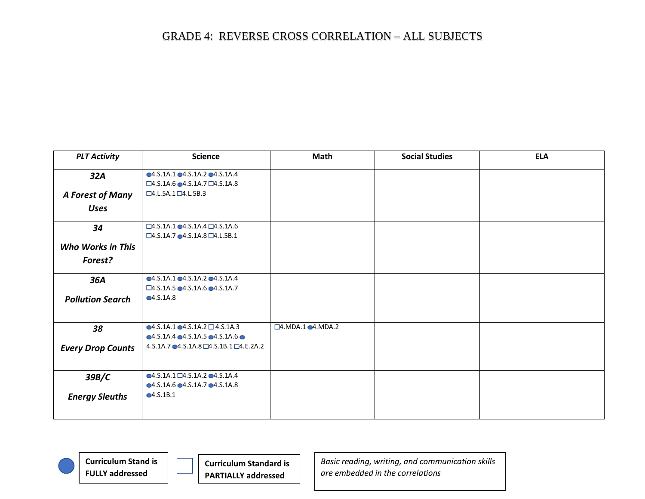| <b>PLT Activity</b>      | <b>Science</b>                                                                                                        | Math                                    | <b>Social Studies</b> | <b>ELA</b> |
|--------------------------|-----------------------------------------------------------------------------------------------------------------------|-----------------------------------------|-----------------------|------------|
| 32A                      | •4.5.1A.1 •4.5.1A.2 •4.5.1A.4<br>$\square$ 4.S.1A.6 $\triangle$ 4.S.1A.7 $\square$ 4.S.1A.8                           |                                         |                       |            |
| A Forest of Many         | $\square$ 4.L.5A.1 $\square$ 4.L.5B.3                                                                                 |                                         |                       |            |
| <b>Uses</b>              |                                                                                                                       |                                         |                       |            |
| 34                       | $\square$ 4.S.1A.1 $\square$ 4.S.1A.4 $\square$ 4.S.1A.6<br>$\square$ 4.S.1A.7 $\bigcirc$ 4.S.1A.8 $\square$ 4.L.5B.1 |                                         |                       |            |
| <b>Who Works in This</b> |                                                                                                                       |                                         |                       |            |
| Forest?                  |                                                                                                                       |                                         |                       |            |
| 36A                      | $-4.5.1A.1 - 4.5.1A.2 - 4.5.1A.4$<br>$\square$ 4.S.1A.5 $\bigcirc$ 4.S.1A.6 $\bigcirc$ 4.S.1A.7                       |                                         |                       |            |
| <b>Pollution Search</b>  | •4.5.1A.8                                                                                                             |                                         |                       |            |
| 38                       | $\bigcirc$ 4.S.1A.1 $\bigcirc$ 4.S.1A.2 $\square$ 4.S.1A.3<br>•4.5.1A.4 •4.5.1A.5 •4.5.1A.6 •                         | $\square$ 4. MDA. 1 $\square$ 4. MDA. 2 |                       |            |
| <b>Every Drop Counts</b> | 4.S.1A.7 $\bigcirc$ 4.S.1A.8 $\Box$ 4.S.1B.1 $\Box$ 4.E.2A.2                                                          |                                         |                       |            |
| 39B/C                    | $\bigcirc$ 4.S.1A.1 $\square$ 4.S.1A.2 $\square$ 4.S.1A.4<br>•4.5.1A.6 •4.5.1A.7 •4.5.1A.8                            |                                         |                       |            |
| <b>Energy Sleuths</b>    | •4.5.1B.1                                                                                                             |                                         |                       |            |
|                          |                                                                                                                       |                                         |                       |            |



**Curriculum Standard is PARTIALLY addressed**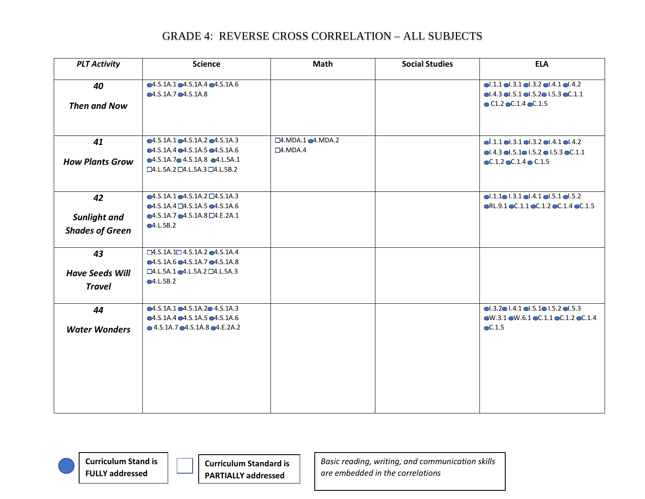| <b>PLT Activity</b>                           | <b>Science</b>                                                                                                                                                                                  | <b>Math</b>                                                    | <b>Social Studies</b> | <b>ELA</b>                                                                                                                                                                                                      |
|-----------------------------------------------|-------------------------------------------------------------------------------------------------------------------------------------------------------------------------------------------------|----------------------------------------------------------------|-----------------------|-----------------------------------------------------------------------------------------------------------------------------------------------------------------------------------------------------------------|
| 40<br><b>Then and Now</b>                     | $-4.5.1A.1 - 4.5.1A.4 - 4.5.1A.6$<br>•4.5.1A.7•4.5.1A.8                                                                                                                                         |                                                                |                       | $\bullet$ .1.1 $\bullet$ .3.1 $\bullet$ .3.2 $\bullet$ .4.1 $\bullet$ .4.2<br>$\bullet$ 1.4.3 $\bullet$ 1.5.1 $\bullet$ 1.5.2 $\bullet$ 1.5.3 $\bullet$ C.1.1<br>$\bullet$ C1.2 $\bullet$ C.1.4 $\bullet$ C.1.5 |
| 41<br><b>How Plants Grow</b>                  | $-4.5.1A.1 - 4.5.1A.2 - 4.5.1A.3$<br>$\bigcirc$ 4.S.1A.4 $\bigcirc$ 4.S.1A.5 $\bigcirc$ 4.S.1A.6<br>•4.5.1A.7 • 4.5.1A.8 • 4.1.5A.1<br>$\square$ 4.L.5A.2 $\square$ 4.L.5A.3 $\square$ 4.L.5B.2 | $\square$ 4. MDA. 1 $\square$ 4. MDA. 2<br>$\square$ 4. MDA. 4 |                       | $ol.1.1$ $ol.3.1$ $ol.3.2$ $ol.4.1$ $ol.4.2$<br>$\bullet$ 1.4.3 $\bullet$ 1.5.1 $\bullet$ 1.5.2 $\bullet$ 1.5.3 $\bullet$ C.1.1<br>$C.1.2$ $C.1.4$ $C.1.5$                                                      |
| 42<br>Sunlight and<br><b>Shades of Green</b>  | $-4.5.1A.1 - 4.5.1A.2$ $-4.5.1A.3$<br>$\bigcirc$ 4.S.1A.4 $\square$ 4.S.1A.5 $\square$ 4.S.1A.6<br>$-4.5.1A.7 - 4.5.1A.8 - 4.5.2A.1$<br>•4.L.5B.2                                               |                                                                |                       | 0.1.101.3.101.4.101.5.101.5.2<br>$\odot$ RL.9.1 $\odot$ C.1.1 $\odot$ C.1.2 $\odot$ C.1.4 $\odot$ C.1.5                                                                                                         |
| 43<br><b>Have Seeds Will</b><br><b>Travel</b> | $\square$ 4.S.1A.1 $\square$ 4.S.1A.2 $\square$ 4.S.1A.4<br>•4.5.1A.6 •4.5.1A.7 •4.5.1A.8<br>$\square$ 4.L.5A.1 $\square$ 4.L.5A.2 $\square$ 4.L.5A.3<br>•4.L.5B.2                              |                                                                |                       |                                                                                                                                                                                                                 |
| 44<br><b>Water Wonders</b>                    | $•4.5.1A.1 \bullet 4.5.1A.2 \bullet 4.5.1A.3$<br>•4.5.1A.4 •4.5.1A.5 •4.5.1A.6<br>$\bullet$ 4.5.1A.7 $\bullet$ 4.5.1A.8 $\bullet$ 4.E.2A.2                                                      |                                                                |                       | $\bullet$ 1.3.2 $\bullet$ 1.4.1 $\bullet$ 1.5.1 $\bullet$ 1.5.2 $\bullet$ 1.5.3<br>$\bullet$ W.3.1 $\bullet$ W.6.1 $\bullet$ C.1.1 $\bullet$ C.1.2 $\bullet$ C.1.4<br>$\bullet$ C.1.5                           |

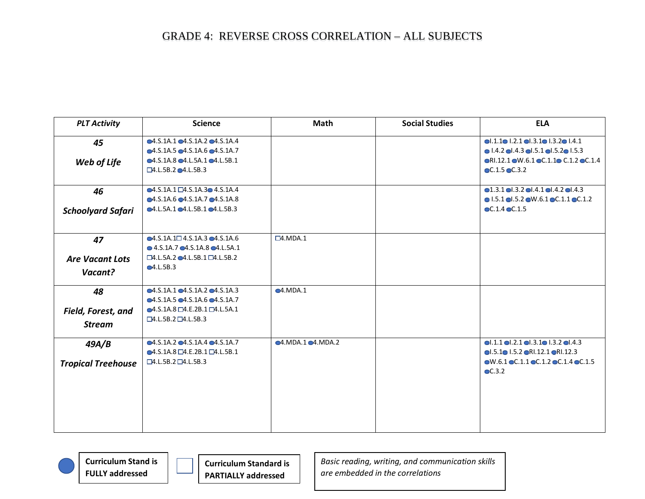| <b>PLT Activity</b>               | <b>Science</b>                                                                                                                    | <b>Math</b>         | <b>Social Studies</b> | <b>ELA</b>                                                                                                                                         |
|-----------------------------------|-----------------------------------------------------------------------------------------------------------------------------------|---------------------|-----------------------|----------------------------------------------------------------------------------------------------------------------------------------------------|
| 45                                | $-4.5.1A.1 - 4.5.1A.2 - 4.5.1A.4$<br>$-4.5.1A.5 - 4.5.1A.6 - 4.5.1A.7$                                                            |                     |                       | $ol.1.1 \odot$ $l.2.1 \odot l.3.1 \odot l.3.2 \odot l.4.1$<br>$\bullet$ 1.4.2 $\bullet$ 1.4.3 $\bullet$ 1.5.1 $\bullet$ 1.5.2 $\bullet$ 1.5.3      |
| Web of Life                       | $-4.5.1A.8 - 4.1.5A.1 - 4.1.5B.1$<br>$\square$ 4.L.5B.2 $\square$ 4.L.5B.3                                                        |                     |                       | $\odot$ RI.12.1 $\odot$ W.6.1 $\odot$ C.1.1 $\odot$ C.1.2 $\odot$ C.1.4<br>$C.1.5$ $C.3.2$                                                         |
| 46                                | $\bigcirc$ 4.S.1A.1 $\square$ 4.S.1A.3 $\bigcirc$ 4.S.1A.4<br>$-4.5.1A.6 - 4.5.1A.7 - 4.5.1A.8$                                   |                     |                       | $0.3.1$ $0.3.2$ $0.4.1$ $0.4.2$ $0.4.3$<br>$\bullet$ 1.5.1 $\bullet$ 1.5.2 $\bullet$ W.6.1 $\bullet$ C.1.1 $\bullet$ C.1.2                         |
| <b>Schoolyard Safari</b>          | $•4.$ L.5A.1 $•4.$ L.5B.1 $•4.$ L.5B.3                                                                                            |                     |                       | $C.1.4$ $C.1.5$                                                                                                                                    |
| 47                                | $\bigcirc$ 4.S.1A.1 $\square$ 4.S.1A.3 $\bigcirc$ 4.S.1A.6<br>$\bullet$ 4.S.1A.7 $\bullet$ 4.S.1A.8 $\bullet$ 4.L.5A.1            | $\square$ 4. MDA. 1 |                       |                                                                                                                                                    |
| <b>Are Vacant Lots</b><br>Vacant? | $\square$ 4.L.5A.2 $\square$ 4.L.5B.1 $\square$ 4.L.5B.2<br>•4.L.5B.3                                                             |                     |                       |                                                                                                                                                    |
| 48                                | $-4.5.1A.1 - 4.5.1A.2 - 4.5.1A.3$                                                                                                 | •4.MDA.1            |                       |                                                                                                                                                    |
| Field, Forest, and                | $-4.5.1A.5 - 4.5.1A.6 - 4.5.1A.7$<br>$\bigcirc$ 4.S.1A.8 $\square$ 4.E.2B.1 $\square$ 4.L.5A.1<br>$\Box$ 4.L.5B.2 $\Box$ 4.L.5B.3 |                     |                       |                                                                                                                                                    |
| <b>Stream</b>                     |                                                                                                                                   |                     |                       |                                                                                                                                                    |
| 49A/B                             | $-4.5.1A.2 - 4.5.1A.4 - 4.5.1A.7$<br>$\bigcirc$ 4.S.1A.8 $\square$ 4.E.2B.1 $\square$ 4.L.5B.1                                    | •4. MDA.1 •4. MDA.2 |                       | $\bullet$ .1.1 $\bullet$ .2.1 $\bullet$ .3.1 $\bullet$ 1.3.2 $\bullet$ .4.3<br>$\bullet$ I.5.1 $\bullet$ I.5.2 $\bullet$ RI.12.1 $\bullet$ RI.12.3 |
| <b>Tropical Treehouse</b>         | $\square$ 4.L.5B.2 $\square$ 4.L.5B.3                                                                                             |                     |                       | $\bullet$ W.6.1 $\bullet$ C.1.1 $\bullet$ C.1.2 $\bullet$ C.1.4 $\bullet$ C.1.5<br>CC.3.2                                                          |
|                                   |                                                                                                                                   |                     |                       |                                                                                                                                                    |
|                                   |                                                                                                                                   |                     |                       |                                                                                                                                                    |
|                                   |                                                                                                                                   |                     |                       |                                                                                                                                                    |



**Curriculum Standard is PARTIALLY addressed**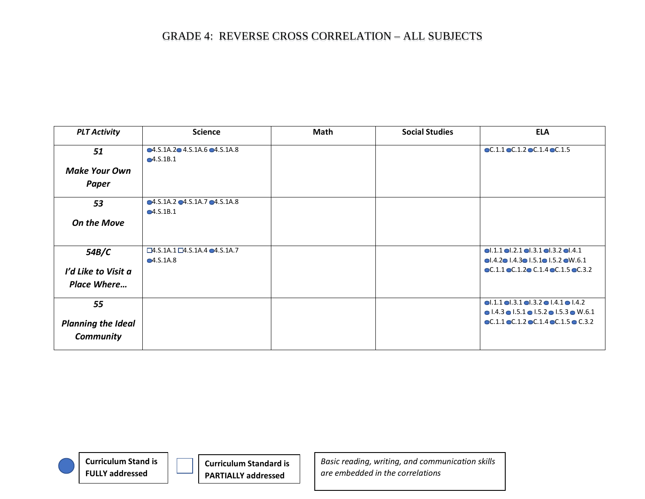| <b>PLT Activity</b>                    | <b>Science</b>                                                          | <b>Math</b> | <b>Social Studies</b> | <b>ELA</b>                                                                                                                                                         |
|----------------------------------------|-------------------------------------------------------------------------|-------------|-----------------------|--------------------------------------------------------------------------------------------------------------------------------------------------------------------|
| 51                                     | $\bullet$ 4.S.1A.2 $\bullet$ 4.S.1A.6 $\bullet$ 4.S.1A.8<br>$-4.5.1B.1$ |             |                       | $\bullet$ C.1.1 $\bullet$ C.1.2 $\bullet$ C.1.4 $\bullet$ C.1.5                                                                                                    |
| <b>Make Your Own</b>                   |                                                                         |             |                       |                                                                                                                                                                    |
| Paper                                  |                                                                         |             |                       |                                                                                                                                                                    |
| 53                                     | $-4.5.1A.2 - 4.5.1A.7 - 4.5.1A.8$<br>Q4.S.1B.1                          |             |                       |                                                                                                                                                                    |
| <b>On the Move</b>                     |                                                                         |             |                       |                                                                                                                                                                    |
| 54B/C                                  | $\Box$ 4.S.1A.1 $\Box$ 4.S.1A.4 $\bigcirc$ 4.S.1A.7<br>Q4.S.1A.8        |             |                       | $0.1.1$ $0.2.1$ $0.3.1$ $0.3.2$ $0.4.1$<br>$\bullet$ 1.4.2 $\bullet$ 1.4.3 $\bullet$ 1.5.1 $\bullet$ 1.5.2 $\bullet$ W.6.1                                         |
| I'd Like to Visit a                    |                                                                         |             |                       | $\bullet$ C.1.1 $\bullet$ C.1.2 $\bullet$ C.1.4 $\bullet$ C.1.5 $\bullet$ C.3.2                                                                                    |
| Place Where                            |                                                                         |             |                       |                                                                                                                                                                    |
| 55                                     |                                                                         |             |                       | $ol.1.1$ $ol.3.1$ $ol.3.2$ $ol.4.1$ $ol.4.2$                                                                                                                       |
| <b>Planning the Ideal</b><br>Community |                                                                         |             |                       | $\bullet$ 1.4.3 $\bullet$ 1.5.1 $\bullet$ 1.5.2 $\bullet$ 1.5.3 $\bullet$ W.6.1<br>$\bullet$ C.1.1 $\bullet$ C.1.2 $\bullet$ C.1.4 $\bullet$ C.1.5 $\bullet$ C.3.2 |



**Curriculum Standard is PARTIALLY addressed**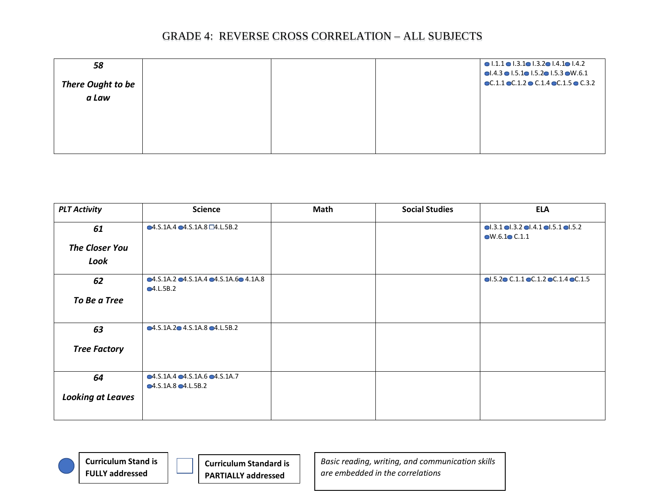| 58                       |  | $\bullet$ 1.1.1 $\bullet$ 1.3.1 $\bullet$ 1.3.2 $\bullet$ 1.4.1 $\bullet$ 1.4.2<br>$\bullet$   4.3 $\bullet$   5.1 $\bullet$   5.2 $\bullet$   5.3 $\bullet$ W.6.1 |
|--------------------------|--|--------------------------------------------------------------------------------------------------------------------------------------------------------------------|
| <b>There Ought to be</b> |  | $\bullet$ C.1.1 $\bullet$ C.1.2 $\bullet$ C.1.4 $\bullet$ C.1.5 $\bullet$ C.3.2                                                                                    |
| a Law                    |  |                                                                                                                                                                    |
|                          |  |                                                                                                                                                                    |
|                          |  |                                                                                                                                                                    |
|                          |  |                                                                                                                                                                    |

| <b>PLT Activity</b>                 | <b>Science</b>                                                                         | Math | <b>Social Studies</b> | <b>ELA</b>                                                                      |
|-------------------------------------|----------------------------------------------------------------------------------------|------|-----------------------|---------------------------------------------------------------------------------|
| 61<br><b>The Closer You</b><br>Look | $\bigcirc$ 4.S.1A.4 $\bigcirc$ 4.S.1A.8 $\Box$ 4.L.5B.2                                |      |                       | $0.3.1$ $0.3.2$ $0.4.1$ $0.5.1$ $0.5.2$<br>$\bullet$ W.6.1 $\bullet$ C.1.1      |
| 62<br>To Be a Tree                  | $\bullet$ 4.S.1A.2 $\bullet$ 4.S.1A.4 $\bullet$ 4.S.1A.6 $\bullet$ 4.1A.8<br>•4.L.5B.2 |      |                       | $\bullet$ 1.5.2 $\bullet$ C.1.1 $\bullet$ C.1.2 $\bullet$ C.1.4 $\bullet$ C.1.5 |
| 63<br><b>Tree Factory</b>           | •4.5.1A.2•4.5.1A.8•4.1.5B.2                                                            |      |                       |                                                                                 |
| 64<br><b>Looking at Leaves</b>      | $-4.5.1A.4 - 4.5.1A.6 - 4.5.1A.7$<br>•4.5.1A.8 •4.L.5B.2                               |      |                       |                                                                                 |





**Curriculum Standard is PARTIALLY addressed**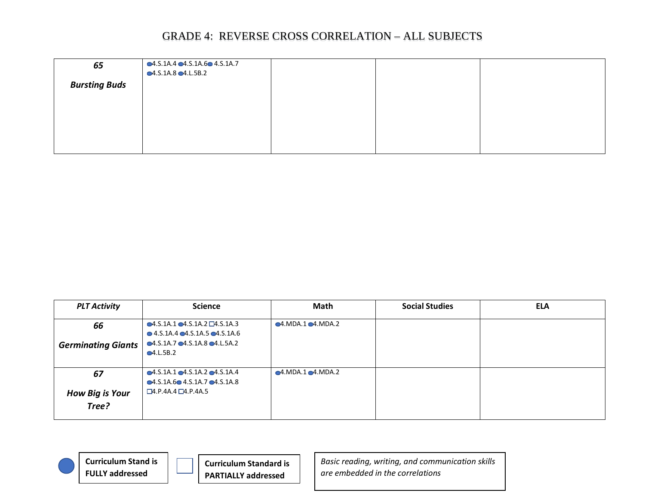| 65                   | $\bigcirc$ 4.S.1A.4 $\bigcirc$ 4.S.1A.6 $\bigcirc$ 4.S.1A.7<br>$-4.5.1A.8 - 4.1.5B.2$ |  |  |
|----------------------|---------------------------------------------------------------------------------------|--|--|
| <b>Bursting Buds</b> |                                                                                       |  |  |
|                      |                                                                                       |  |  |
|                      |                                                                                       |  |  |
|                      |                                                                                       |  |  |
|                      |                                                                                       |  |  |

| <b>PLT Activity</b>                   | <b>Science</b>                                                                                                                                                                                       | Math                    | <b>Social Studies</b> | <b>ELA</b> |
|---------------------------------------|------------------------------------------------------------------------------------------------------------------------------------------------------------------------------------------------------|-------------------------|-----------------------|------------|
| 66<br><b>Germinating Giants</b>       | $\bigcirc$ 4.S.1A.1 $\bigcirc$ 4.S.1A.2 $\square$ 4.S.1A.3<br>$\bullet$ 4.5.1A.4 $\bullet$ 4.5.1A.5 $\bullet$ 4.5.1A.6<br>$\bigcirc$ 4.S.1A.7 $\bigcirc$ 4.S.1A.8 $\bigcirc$ 4.L.5A.2<br>$-4.L.5B.2$ | •4. MDA.1 •4. MDA.2     |                       |            |
| 67<br><b>How Big is Your</b><br>Tree? | $-4.5.1A.1 - 4.5.1A.2 - 4.5.1A.4$<br>$\bigcirc$ 4.5.1A.6 $\bigcirc$ 4.S.1A.7 $\bigcirc$ 4.S.1A.8<br>$\Box$ 4.P.4A.4 $\Box$ 4.P.4A.5                                                                  | $•4. MDA.1$ $•4. MDA.2$ |                       |            |





**Curriculum Standard is PARTIALLY addressed**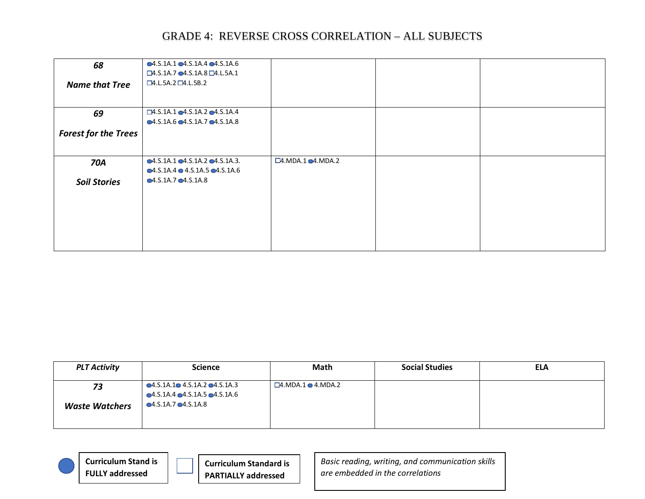| 68<br><b>Name that Tree</b> | $\bigcirc$ 4.S.1A.1 $\bigcirc$ 4.S.1A.4 $\bigcirc$ 4.S.1A.6<br>$\square$ 4.S.1A.7 $\bigcirc$ 4.S.1A.8 $\square$ 4.L.5A.1<br>$\square$ 4.L.5A.2 $\square$ 4.L.5B.2 |                                         |  |
|-----------------------------|-------------------------------------------------------------------------------------------------------------------------------------------------------------------|-----------------------------------------|--|
|                             |                                                                                                                                                                   |                                         |  |
| 69                          | $\square$ 4.S.1A.1 $\square$ 4.S.1A.2 $\square$ 4.S.1A.4<br>$\bullet$ 4.S.1A.6 $\bullet$ 4.S.1A.7 $\bullet$ 4.S.1A.8                                              |                                         |  |
| <b>Forest for the Trees</b> |                                                                                                                                                                   |                                         |  |
|                             | $•4.5.1A.1 \bullet 4.5.1A.2 \bullet 4.5.1A.3.$                                                                                                                    | $\square$ 4. MDA. 1 $\square$ 4. MDA. 2 |  |
| 70A                         | $\bullet$ 4.S.1A.4 $\bullet$ 4.S.1A.5 $\bullet$ 4.S.1A.6                                                                                                          |                                         |  |
| <b>Soil Stories</b>         | •4.5.1A.7 •4.5.1A.8                                                                                                                                               |                                         |  |
|                             |                                                                                                                                                                   |                                         |  |
|                             |                                                                                                                                                                   |                                         |  |
|                             |                                                                                                                                                                   |                                         |  |
|                             |                                                                                                                                                                   |                                         |  |

| <b>PLT Activity</b>   | <b>Science</b>                                                                                                       | Math                                | <b>Social Studies</b> | <b>ELA</b> |
|-----------------------|----------------------------------------------------------------------------------------------------------------------|-------------------------------------|-----------------------|------------|
| 73                    | $\bullet$ 4.S.1A.1 $\bullet$ 4.S.1A.2 $\bullet$ 4.S.1A.3<br>$\bullet$ 4.S.1A.4 $\bullet$ 4.S.1A.5 $\bullet$ 4.S.1A.6 | $\square$ 4.MDA.1 $\square$ 4.MDA.2 |                       |            |
| <b>Waste Watchers</b> | $•4.5.1A.7$ $•4.5.1A.8$                                                                                              |                                     |                       |            |
|                       |                                                                                                                      |                                     |                       |            |



**Curriculum Standard is PARTIALLY addressed**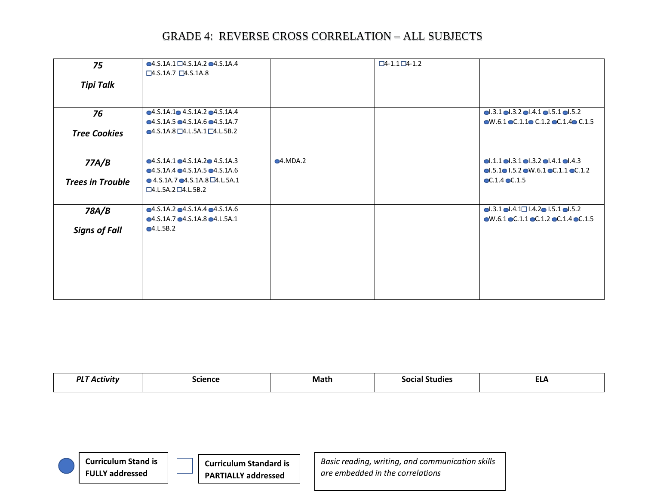| 75                      | $\bigcirc$ 4.S.1A.1 $\square$ 4.S.1A.2 $\square$ 4.S.1A.4   |             | $\Box 4 - 1.1 \Box 4 - 1.2$ |                                                                                 |
|-------------------------|-------------------------------------------------------------|-------------|-----------------------------|---------------------------------------------------------------------------------|
|                         | $\square$ 4.S.1A.7 $\square$ 4.S.1A.8                       |             |                             |                                                                                 |
| <b>Tipi Talk</b>        |                                                             |             |                             |                                                                                 |
|                         |                                                             |             |                             |                                                                                 |
|                         |                                                             |             |                             |                                                                                 |
| 76                      | $\bullet$ 4.S.1A.1 $\bullet$ 4.S.1A.2 $\bullet$ 4.S.1A.4    |             |                             | $\bullet$ .3.1 $\bullet$ .3.2 $\bullet$ .4.1 $\bullet$ .5.1 $\bullet$ .5.2      |
|                         | $•4.5.1A.5 \bullet 4.5.1A.6 \bullet 4.5.1A.7$               |             |                             | $\bullet$ W.6.1 $\bullet$ C.1.1 $\bullet$ C.1.2 $\bullet$ C.1.4 $\bullet$ C.1.5 |
| <b>Tree Cookies</b>     | $\bigcirc$ 4.S.1A.8 $\bigcirc$ 4.L.5A.1 $\bigcirc$ 4.L.5B.2 |             |                             |                                                                                 |
|                         |                                                             |             |                             |                                                                                 |
|                         |                                                             |             |                             |                                                                                 |
| 77A/B                   | $•4.5.1A.1 \bullet 4.5.1A.2 \bullet 4.5.1A.3$               | $Q4$ .MDA.2 |                             | $0.1.1$ $0.3.1$ $0.3.2$ $0.4.1$ $0.4.3$                                         |
|                         | $•4.5.1A.4$ $•4.5.1A.5$ $•4.5.1A.6$                         |             |                             | $\bullet$ .5.1 $\bullet$ 1.5.2 $\bullet$ W.6.1 $\bullet$ C.1.1 $\bullet$ C.1.2  |
| <b>Trees in Trouble</b> | $\bullet$ 4.S.1A.7 $\bullet$ 4.S.1A.8 $\square$ 4.L.5A.1    |             |                             | $\odot$ C.1.4 $\odot$ C.1.5                                                     |
|                         | $\square$ 4.L.5A.2 $\square$ 4.L.5B.2                       |             |                             |                                                                                 |
|                         |                                                             |             |                             |                                                                                 |
| 78A/B                   | $•4.5.1A.2$ $•4.5.1A.4$ $•4.5.1A.6$                         |             |                             | $\bullet$ .3.1 $\bullet$ .4.1 $\Box$ 1.4.2 $\bullet$ 1.5.1 $\bullet$ .5.2       |
|                         | $•4.5.1A.7$ $•4.5.1A.8$ $•4.1.5A.1$                         |             |                             | $\bullet$ W.6.1 $\bullet$ C.1.1 $\bullet$ C.1.2 $\bullet$ C.1.4 $\bullet$ C.1.5 |
| <b>Signs of Fall</b>    | •4.L.5B.2                                                   |             |                             |                                                                                 |
|                         |                                                             |             |                             |                                                                                 |
|                         |                                                             |             |                             |                                                                                 |
|                         |                                                             |             |                             |                                                                                 |
|                         |                                                             |             |                             |                                                                                 |
|                         |                                                             |             |                             |                                                                                 |
|                         |                                                             |             |                             |                                                                                 |
|                         |                                                             |             |                             |                                                                                 |
|                         |                                                             |             |                             |                                                                                 |

| DI '<br>-<br>riviti<br>" | cience | Math | Studies | <b>CLA</b> |
|--------------------------|--------|------|---------|------------|
|                          |        |      |         |            |





**Curriculum Standard is PARTIALLY addressed**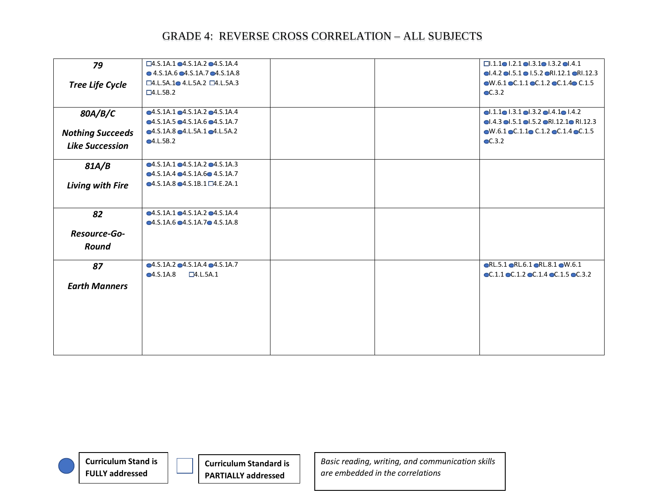| 79                      | $\square$ 4.S.1A.1 $\square$ 4.S.1A.2 $\square$ 4.S.1A.4 |  | $\Box 1.1.1 \bullet 1.2.1 \bullet 1.3.1 \bullet 1.3.2 \bullet 1.4.1$                |
|-------------------------|----------------------------------------------------------|--|-------------------------------------------------------------------------------------|
|                         | $\bullet$ 4.5.1A.6 $\bullet$ 4.S.1A.7 $\bullet$ 4.S.1A.8 |  | $ol.4.2$ $ol.5.1$ $ol.5.2$ $ol.12.1$ $ol.12.3$                                      |
| <b>Tree Life Cycle</b>  | $\square$ 4.L.5A.1 $\square$ 4.L.5A.2 $\square$ 4.L.5A.3 |  | $\bullet$ W.6.1 $\bullet$ C.1.1 $\bullet$ C.1.2 $\bullet$ C.1.4 $\bullet$ C.1.5     |
|                         | $\square$ 4.L.5B.2                                       |  | $\odot$ C.3.2                                                                       |
|                         |                                                          |  |                                                                                     |
| 80A/B/C                 | $•4.5.1A.1 \bullet 4.5.1A.2 \bullet 4.5.1A.4$            |  | 0.1.101.3.101.3.201.4.101.4.2                                                       |
|                         | •4.5.1A.5 •4.5.1A.6 •4.5.1A.7                            |  | $\bullet$ I.4.3 $\bullet$ I.5.1 $\bullet$ I.5.2 $\bullet$ RI.12.1 $\bullet$ RI.12.3 |
| <b>Nothing Succeeds</b> | •4.5.1A.8 •4.1.5A.1 •4.1.5A.2                            |  | $\bullet$ W.6.1 $\bullet$ C.1.1 $\bullet$ C.1.2 $\bullet$ C.1.4 $\bullet$ C.1.5     |
| <b>Like Succession</b>  | •4.L.5B.2                                                |  | $\odot$ C.3.2                                                                       |
|                         |                                                          |  |                                                                                     |
| 81A/B                   | •4.5.1A.1 •4.5.1A.2 •4.5.1A.3                            |  |                                                                                     |
|                         | •4.5.1A.4 •4.5.1A.6 •4.5.1A.7                            |  |                                                                                     |
| <b>Living with Fire</b> | $-4.5.1A.8 - 4.5.1B.1$ $-4.5.2A.1$                       |  |                                                                                     |
|                         |                                                          |  |                                                                                     |
|                         |                                                          |  |                                                                                     |
| 82                      | $•4.5.1A.1 \bullet 4.5.1A.2 \bullet 4.5.1A.4$            |  |                                                                                     |
|                         | •4.5.1A.6 •4.5.1A.7 •4.5.1A.8                            |  |                                                                                     |
| Resource-Go-            |                                                          |  |                                                                                     |
| Round                   |                                                          |  |                                                                                     |
|                         |                                                          |  |                                                                                     |
| 87                      | •4.5.1A.2 •4.5.1A.4 •4.5.1A.7                            |  | $\bullet$ RL.5.1 $\bullet$ RL.6.1 $\bullet$ RL.8.1 $\bullet$ W.6.1                  |
|                         | $\square$ 4.L.5A.1<br>•4.5.1A.8                          |  | $\odot$ C.1.1 $\odot$ C.1.2 $\odot$ C.1.4 $\odot$ C.1.5 $\odot$ C.3.2               |
| <b>Earth Manners</b>    |                                                          |  |                                                                                     |
|                         |                                                          |  |                                                                                     |
|                         |                                                          |  |                                                                                     |
|                         |                                                          |  |                                                                                     |
|                         |                                                          |  |                                                                                     |
|                         |                                                          |  |                                                                                     |
|                         |                                                          |  |                                                                                     |
|                         |                                                          |  |                                                                                     |